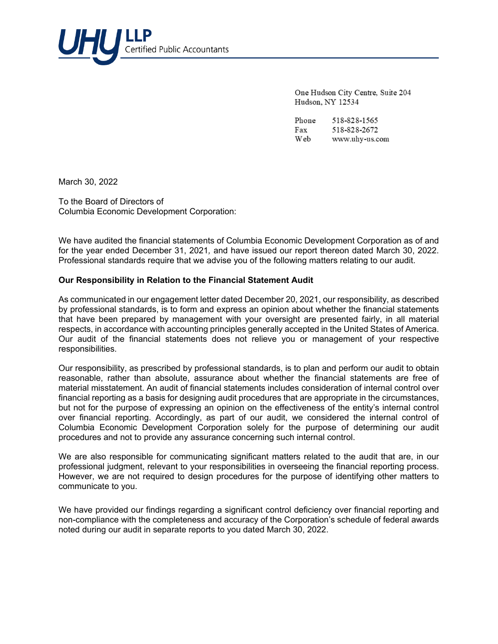

One Hudson City Centre, Suite 204 Hudson, NY 12534

Phone 518-828-1565 518-828-2672 Fax Web www.uhy-us.com

March 30, 2022

To the Board of Directors of Columbia Economic Development Corporation:

We have audited the financial statements of Columbia Economic Development Corporation as of and for the year ended December 31, 2021*,* and have issued our report thereon dated March 30, 2022. Professional standards require that we advise you of the following matters relating to our audit.

## **Our Responsibility in Relation to the Financial Statement Audit**

As communicated in our engagement letter dated December 20, 2021, our responsibility, as described by professional standards, is to form and express an opinion about whether the financial statements that have been prepared by management with your oversight are presented fairly, in all material respects, in accordance with accounting principles generally accepted in the United States of America. Our audit of the financial statements does not relieve you or management of your respective responsibilities.

Our responsibility, as prescribed by professional standards, is to plan and perform our audit to obtain reasonable, rather than absolute, assurance about whether the financial statements are free of material misstatement. An audit of financial statements includes consideration of internal control over financial reporting as a basis for designing audit procedures that are appropriate in the circumstances, but not for the purpose of expressing an opinion on the effectiveness of the entity's internal control over financial reporting. Accordingly, as part of our audit, we considered the internal control of Columbia Economic Development Corporation solely for the purpose of determining our audit procedures and not to provide any assurance concerning such internal control.

We are also responsible for communicating significant matters related to the audit that are, in our professional judgment, relevant to your responsibilities in overseeing the financial reporting process. However, we are not required to design procedures for the purpose of identifying other matters to communicate to you.

We have provided our findings regarding a significant control deficiency over financial reporting and non-compliance with the completeness and accuracy of the Corporation's schedule of federal awards noted during our audit in separate reports to you dated March 30, 2022.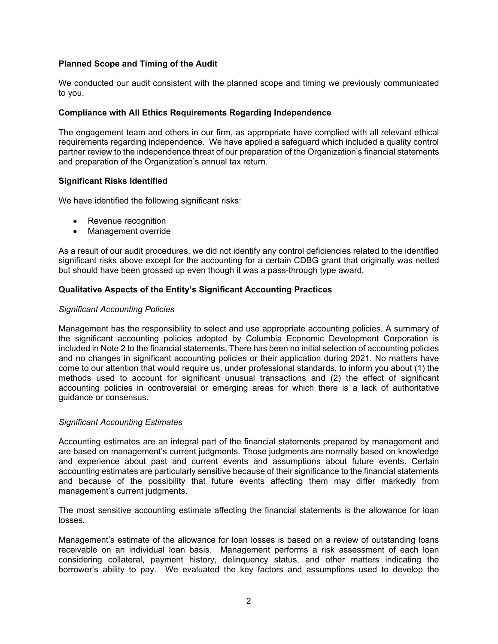# **Planned Scope and Timing of the Audit**

We conducted our audit consistent with the planned scope and timing we previously communicated to you.

## **Compliance with All Ethics Requirements Regarding Independence**

The engagement team and others in our firm, as appropriate have complied with all relevant ethical requirements regarding independence. We have applied a safeguard which included a quality control partner review to the independence threat of our preparation of the Organization's financial statements and preparation of the Organization's annual tax return.

## **Significant Risks Identified**

We have identified the following significant risks:

- Revenue recognition
- Management override

As a result of our audit procedures, we did not identify any control deficiencies related to the identified significant risks above except for the accounting for a certain CDBG grant that originally was netted but should have been grossed up even though it was a pass-through type award.

### **Qualitative Aspects of the Entity's Significant Accounting Practices**

#### *Significant Accounting Policies*

Management has the responsibility to select and use appropriate accounting policies. A summary of the significant accounting policies adopted by Columbia Economic Development Corporation is included in Note 2 to the financial statements. There has been no initial selection of accounting policies and no changes in significant accounting policies or their application during 2021. No matters have come to our attention that would require us, under professional standards, to inform you about (1) the methods used to account for significant unusual transactions and (2) the effect of significant accounting policies in controversial or emerging areas for which there is a lack of authoritative guidance or consensus.

#### *Significant Accounting Estimates*

Accounting estimates are an integral part of the financial statements prepared by management and are based on management's current judgments. Those judgments are normally based on knowledge and experience about past and current events and assumptions about future events. Certain accounting estimates are particularly sensitive because of their significance to the financial statements and because of the possibility that future events affecting them may differ markedly from management's current judgments.

The most sensitive accounting estimate affecting the financial statements is the allowance for loan losses*.* 

Management's estimate of the allowance for loan losses is based on a review of outstanding loans receivable on an individual loan basis. Management performs a risk assessment of each loan considering collateral, payment history, delinquency status, and other matters indicating the borrower's ability to pay. We evaluated the key factors and assumptions used to develop the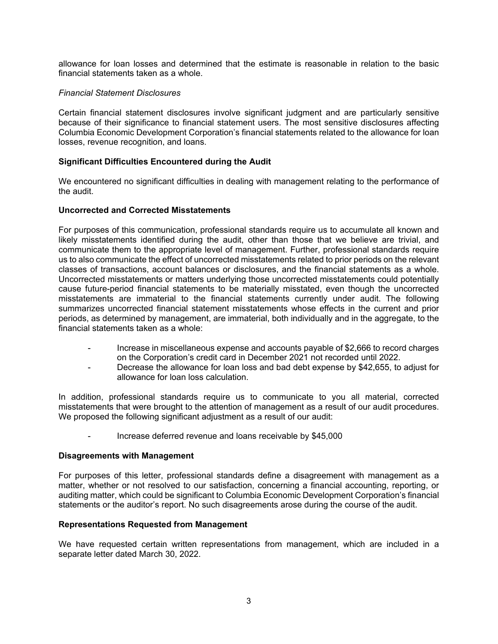allowance for loan losses and determined that the estimate is reasonable in relation to the basic financial statements taken as a whole.

### *Financial Statement Disclosures*

Certain financial statement disclosures involve significant judgment and are particularly sensitive because of their significance to financial statement users. The most sensitive disclosures affecting Columbia Economic Development Corporation's financial statements related to the allowance for loan losses, revenue recognition, and loans.

### **Significant Difficulties Encountered during the Audit**

We encountered no significant difficulties in dealing with management relating to the performance of the audit.

### **Uncorrected and Corrected Misstatements**

For purposes of this communication, professional standards require us to accumulate all known and likely misstatements identified during the audit, other than those that we believe are trivial, and communicate them to the appropriate level of management. Further, professional standards require us to also communicate the effect of uncorrected misstatements related to prior periods on the relevant classes of transactions, account balances or disclosures, and the financial statements as a whole. Uncorrected misstatements or matters underlying those uncorrected misstatements could potentially cause future-period financial statements to be materially misstated, even though the uncorrected misstatements are immaterial to the financial statements currently under audit. The following summarizes uncorrected financial statement misstatements whose effects in the current and prior periods, as determined by management, are immaterial, both individually and in the aggregate, to the financial statements taken as a whole:

- Increase in miscellaneous expense and accounts payable of \$2,666 to record charges on the Corporation's credit card in December 2021 not recorded until 2022.
- Decrease the allowance for loan loss and bad debt expense by \$42,655, to adjust for allowance for loan loss calculation.

In addition, professional standards require us to communicate to you all material, corrected misstatements that were brought to the attention of management as a result of our audit procedures. We proposed the following significant adjustment as a result of our audit:

Increase deferred revenue and loans receivable by \$45,000

### **Disagreements with Management**

For purposes of this letter, professional standards define a disagreement with management as a matter, whether or not resolved to our satisfaction, concerning a financial accounting, reporting, or auditing matter, which could be significant to Columbia Economic Development Corporation's financial statements or the auditor's report. No such disagreements arose during the course of the audit.

#### **Representations Requested from Management**

We have requested certain written representations from management, which are included in a separate letter dated March 30, 2022.